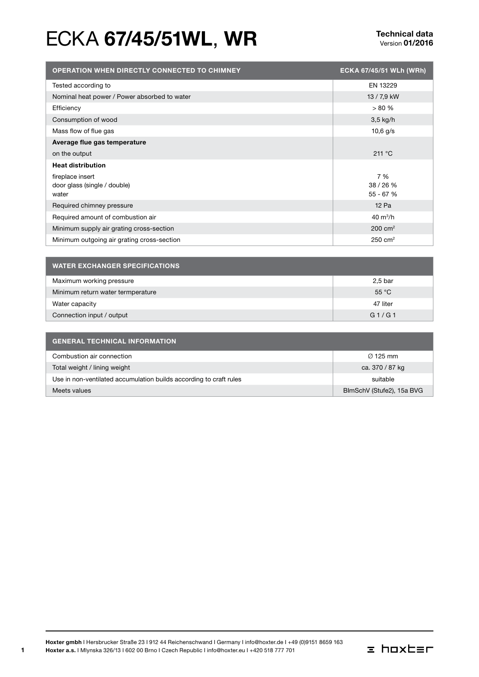# ECKA 67/45/51WL, WR<br>
Version 01/2016

| <b>OPERATION WHEN DIRECTLY CONNECTED TO CHIMNEY</b> | ECKA 67/45/51 WLh (WRh) |
|-----------------------------------------------------|-------------------------|
| Tested according to                                 | EN 13229                |
| Nominal heat power / Power absorbed to water        | 13 / 7,9 kW             |
| Efficiency                                          | > 80%                   |
| Consumption of wood                                 | $3,5$ kg/h              |
| Mass flow of flue gas                               | $10,6$ g/s              |
| Average flue gas temperature                        |                         |
| on the output                                       | 211 °C                  |
| <b>Heat distribution</b>                            |                         |
| fireplace insert                                    | 7 %                     |
| door glass (single / double)                        | 38/26%                  |
| water                                               | 55 - 67 %               |
| Required chimney pressure                           | 12 Pa                   |
| Required amount of combustion air                   | $40 \text{ m}^3/h$      |
| Minimum supply air grating cross-section            | $200 \text{ cm}^2$      |
| Minimum outgoing air grating cross-section          | $250 \text{ cm}^2$      |

| <b>WATER EXCHANGER SPECIFICATIONS</b> |                |  |
|---------------------------------------|----------------|--|
| Maximum working pressure              | 2,5 bar        |  |
| Minimum return water termperature     | $55^{\circ}$ C |  |
| Water capacity                        | 47 liter       |  |
| Connection input / output             | G1/G1          |  |

| <b>GENERAL TECHNICAL INFORMATION</b>                               |                           |  |
|--------------------------------------------------------------------|---------------------------|--|
| Combustion air connection                                          | $\varnothing$ 125 mm      |  |
| Total weight / lining weight                                       | ca. 370 / 87 kg           |  |
| Use in non-ventilated accumulation builds according to craft rules | suitable                  |  |
| Meets values                                                       | BlmSchV (Stufe2), 15a BVG |  |

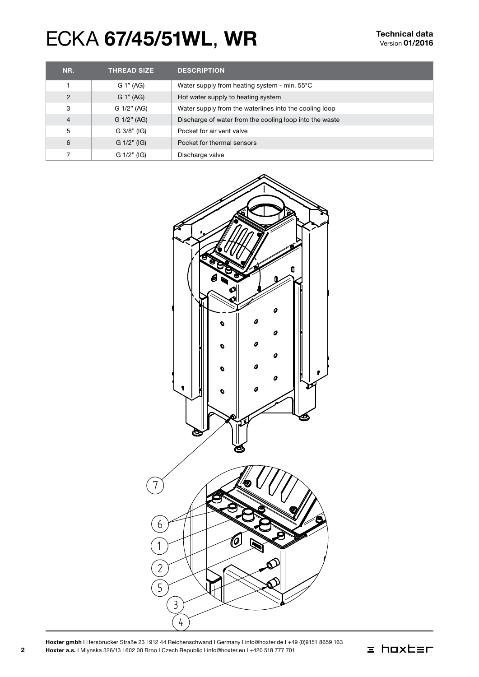# ECKA 67/45/51WL, WR<br>
Version 01/2016

| NR.            | <b>THREAD SIZE</b> | <b>DESCRIPTION</b>                                      |
|----------------|--------------------|---------------------------------------------------------|
|                | G 1" (AG)          | Water supply from heating system - min. 55°C            |
| $\overline{2}$ | G 1" (AG)          | Hot water supply to heating system                      |
| 3              | G 1/2" (AG)        | Water supply from the waterlines into the cooling loop  |
| $\overline{4}$ | G 1/2" (AG)        | Discharge of water from the cooling loop into the waste |
| 5              | $G$ 3/8" (IG)      | Pocket for air vent valve                               |
| 6              | $G$ 1/2" (IG)      | Pocket for thermal sensors                              |
|                | G 1/2" (IG)        | Discharge valve                                         |



Hoxter gmbh I Hersbrucker Straße 23 I 912 44 Reichenschwand I Germany I info@hoxter.de I +49 (0)9151 8659 163 Hoxter a.s. I Mlynska 326/13 I 602 00 Brno I Czech Republic I info@hoxter.eu I +420 518 777 701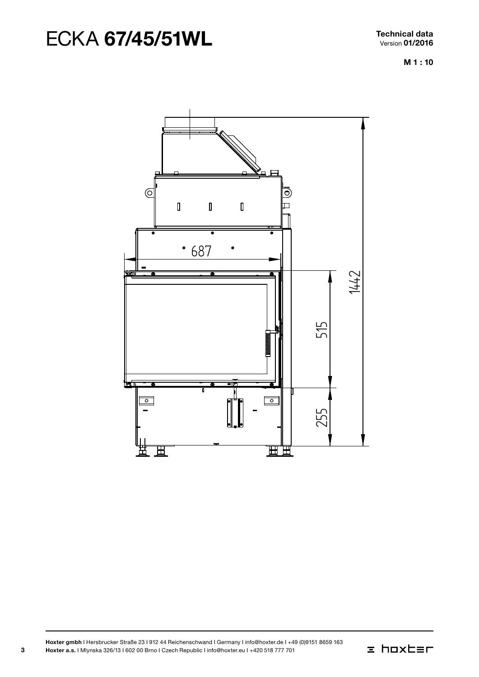# ECKA 67/45/51WL Technical data

M 1 : 10



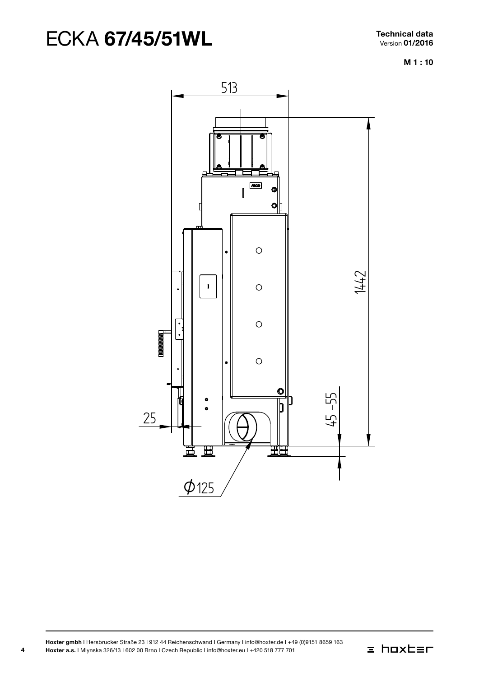M 1 : 10



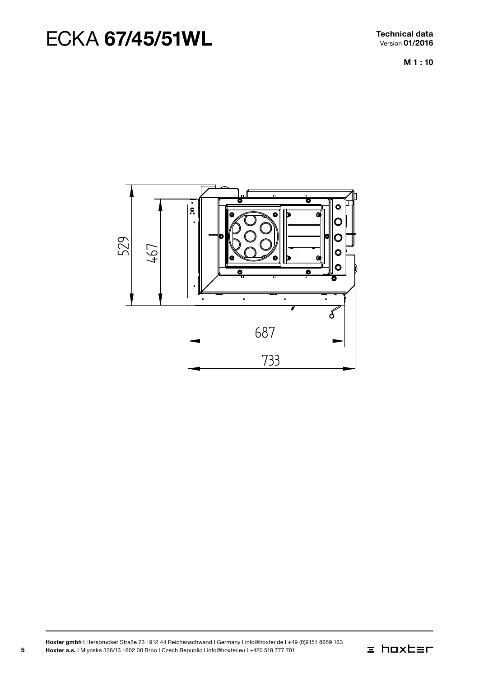Technical data Version 01/2016

M 1 : 10



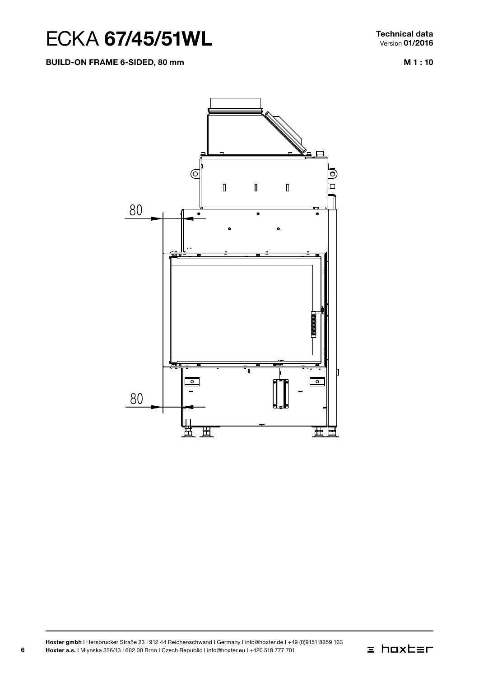Build-on frame 6-sided, 80 mm

M 1 : 10



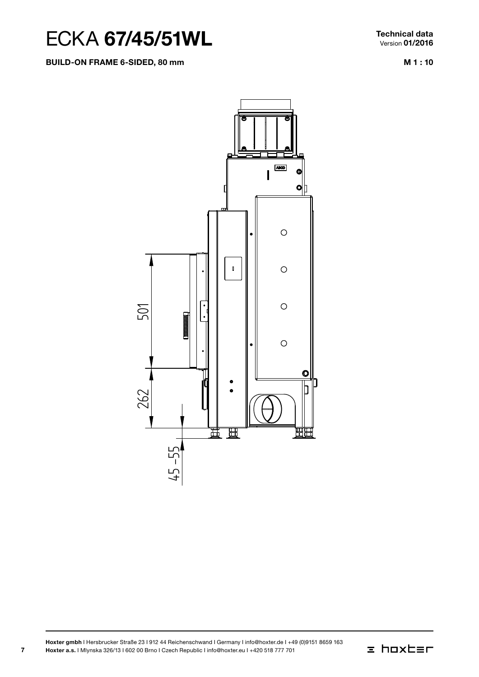#### Build-on frame 6-sided, 80 mm

Technical data Version 01/2016

M 1 : 10



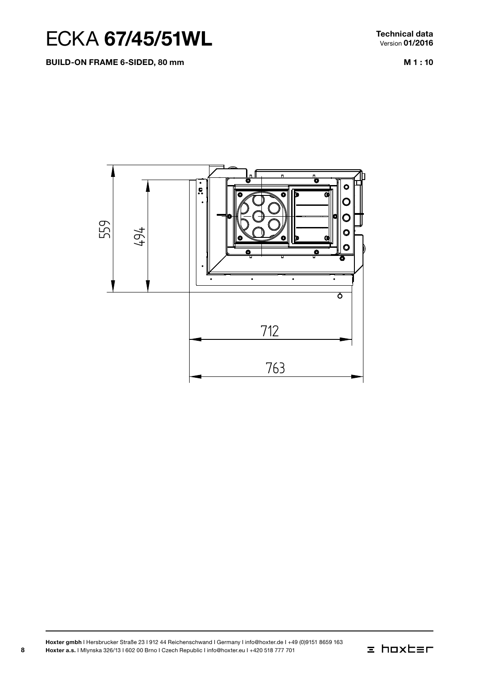

Build-on frame 6-sided, 80 mm

Technical data Version 01/2016

M 1 : 10